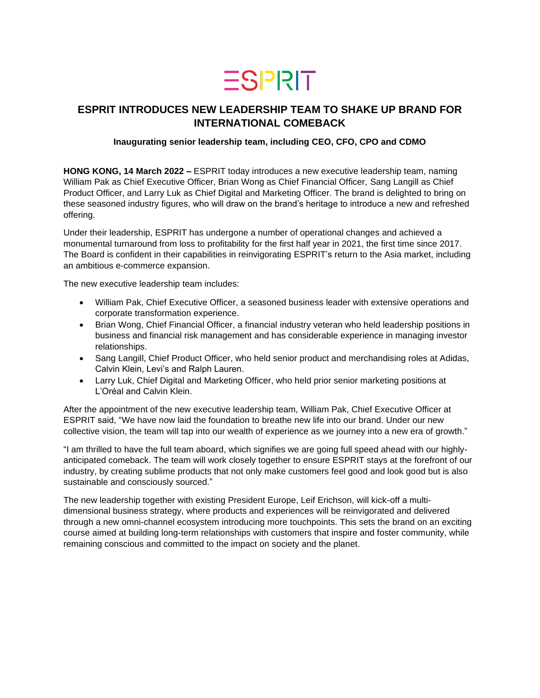# $ESPIRT$

## **ESPRIT INTRODUCES NEW LEADERSHIP TEAM TO SHAKE UP BRAND FOR INTERNATIONAL COMEBACK**

### **Inaugurating senior leadership team, including CEO, CFO, CPO and CDMO**

**HONG KONG, 14 March 2022 –** ESPRIT today introduces a new executive leadership team, naming William Pak as Chief Executive Officer, Brian Wong as Chief Financial Officer, Sang Langill as Chief Product Officer, and Larry Luk as Chief Digital and Marketing Officer. The brand is delighted to bring on these seasoned industry figures, who will draw on the brand's heritage to introduce a new and refreshed offering.

Under their leadership, ESPRIT has undergone a number of operational changes and achieved a monumental turnaround from loss to profitability for the first half year in 2021, the first time since 2017. The Board is confident in their capabilities in reinvigorating ESPRIT's return to the Asia market, including an ambitious e-commerce expansion.

The new executive leadership team includes:

- William Pak, Chief Executive Officer, a seasoned business leader with extensive operations and corporate transformation experience.
- Brian Wong, Chief Financial Officer, a financial industry veteran who held leadership positions in business and financial risk management and has considerable experience in managing investor relationships.
- Sang Langill, Chief Product Officer, who held senior product and merchandising roles at Adidas, Calvin Klein, Levi's and Ralph Lauren.
- Larry Luk, Chief Digital and Marketing Officer, who held prior senior marketing positions at L'Oréal and Calvin Klein.

After the appointment of the new executive leadership team, William Pak, Chief Executive Officer at ESPRIT said, "We have now laid the foundation to breathe new life into our brand. Under our new collective vision, the team will tap into our wealth of experience as we journey into a new era of growth."

"I am thrilled to have the full team aboard, which signifies we are going full speed ahead with our highlyanticipated comeback. The team will work closely together to ensure ESPRIT stays at the forefront of our industry, by creating sublime products that not only make customers feel good and look good but is also sustainable and consciously sourced."

The new leadership together with existing President Europe, Leif Erichson, will kick-off a multidimensional business strategy, where products and experiences will be reinvigorated and delivered through a new omni-channel ecosystem introducing more touchpoints. This sets the brand on an exciting course aimed at building long-term relationships with customers that inspire and foster community, while remaining conscious and committed to the impact on society and the planet.